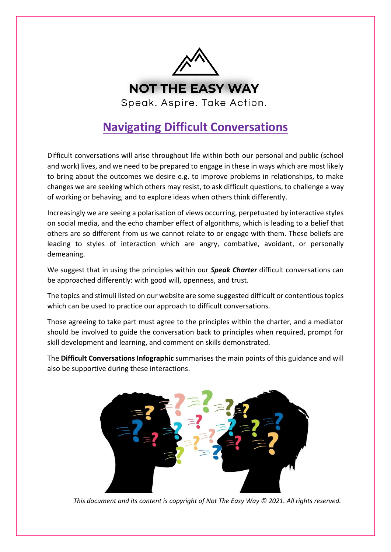

# **Navigating Difficult Conversations**

Difficult conversations will arise throughout life within both our personal and public (school and work) lives, and we need to be prepared to engage in these in ways which are most likely to bring about the outcomes we desire e.g. to improve problems in relationships, to make changes we are seeking which others may resist, to ask difficult questions, to challenge a way of working or behaving, and to explore ideas when others think differently.

Increasingly we are seeing a polarisation of views occurring, perpetuated by interactive styles on social media, and the echo chamber effect of algorithms, which is leading to a belief that others are so different from us we cannot relate to or engage with them. These beliefs are leading to styles of interaction which are angry, combative, avoidant, or personally demeaning.

We suggest that in using the principles within our *Speak Charter* difficult conversations can be approached differently: with good will, openness, and trust.

The topics and stimuli listed on our website are some suggested difficult or contentious topics which can be used to practice our approach to difficult conversations.

Those agreeing to take part must agree to the principles within the charter, and a mediator should be involved to guide the conversation back to principles when required, prompt for skill development and learning, and comment on skills demonstrated.

The **Difficult Conversations Infographic** summarises the main points of this guidance and will also be supportive during these interactions.



*This document and its content is copyright of Not The Easy Way © 2021. All rights reserved.*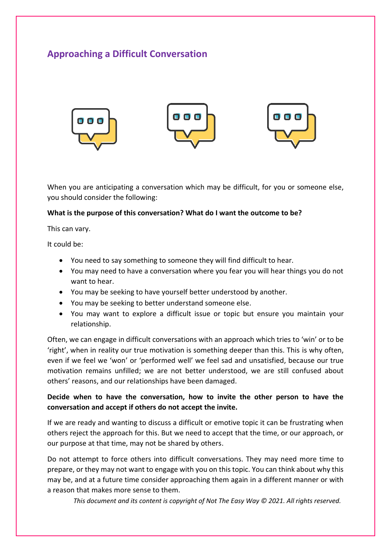## **Approaching a Difficult Conversation**



When you are anticipating a conversation which may be difficult, for you or someone else, you should consider the following:

#### **What is the purpose of this conversation? What do I want the outcome to be?**

This can vary.

It could be:

- You need to say something to someone they will find difficult to hear.
- You may need to have a conversation where you fear you will hear things you do not want to hear.
- You may be seeking to have yourself better understood by another.
- You may be seeking to better understand someone else.
- You may want to explore a difficult issue or topic but ensure you maintain your relationship.

Often, we can engage in difficult conversations with an approach which tries to 'win' or to be 'right', when in reality our true motivation is something deeper than this. This is why often, even if we feel we 'won' or 'performed well' we feel sad and unsatisfied, because our true motivation remains unfilled; we are not better understood, we are still confused about others' reasons, and our relationships have been damaged.

#### **Decide when to have the conversation, how to invite the other person to have the conversation and accept if others do not accept the invite.**

If we are ready and wanting to discuss a difficult or emotive topic it can be frustrating when others reject the approach for this. But we need to accept that the time, or our approach, or our purpose at that time, may not be shared by others.

Do not attempt to force others into difficult conversations. They may need more time to prepare, or they may not want to engage with you on this topic. You can think about why this may be, and at a future time consider approaching them again in a different manner or with a reason that makes more sense to them.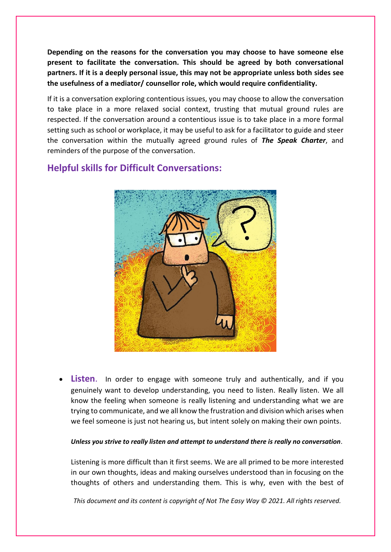**Depending on the reasons for the conversation you may choose to have someone else present to facilitate the conversation. This should be agreed by both conversational partners. If it is a deeply personal issue, this may not be appropriate unless both sides see the usefulness of a mediator/ counsellor role, which would require confidentiality.**

If it is a conversation exploring contentious issues, you may choose to allow the conversation to take place in a more relaxed social context, trusting that mutual ground rules are respected. If the conversation around a contentious issue is to take place in a more formal setting such as school or workplace, it may be useful to ask for a facilitator to guide and steer the conversation within the mutually agreed ground rules of *The Speak Charter*, and reminders of the purpose of the conversation.



### **Helpful skills for Difficult Conversations:**

• **Listen**. In order to engage with someone truly and authentically, and if you genuinely want to develop understanding, you need to listen. Really listen. We all know the feeling when someone is really listening and understanding what we are trying to communicate, and we all know the frustration and division which arises when we feel someone is just not hearing us, but intent solely on making their own points.

#### *Unless you strive to really listen and attempt to understand there is really no conversation*.

Listening is more difficult than it first seems. We are all primed to be more interested in our own thoughts, ideas and making ourselves understood than in focusing on the thoughts of others and understanding them. This is why, even with the best of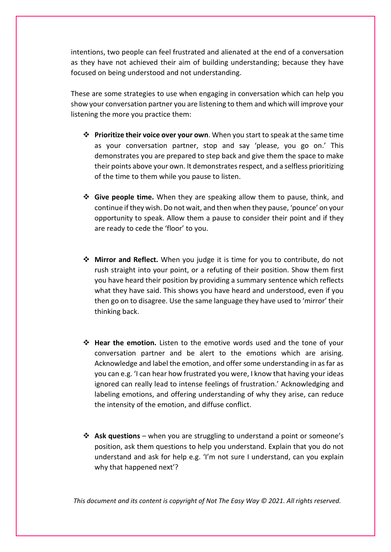intentions, two people can feel frustrated and alienated at the end of a conversation as they have not achieved their aim of building understanding; because they have focused on being understood and not understanding.

These are some strategies to use when engaging in conversation which can help you show your conversation partner you are listening to them and which will improve your listening the more you practice them:

- ❖ **Prioritize their voice over your own**. When you start to speak at the same time as your conversation partner, stop and say 'please, you go on.' This demonstrates you are prepared to step back and give them the space to make their points above your own. It demonstrates respect, and a selfless prioritizing of the time to them while you pause to listen.
- ❖ **Give people time.** When they are speaking allow them to pause, think, and continue if they wish. Do not wait, and then when they pause, 'pounce' on your opportunity to speak. Allow them a pause to consider their point and if they are ready to cede the 'floor' to you.
- ❖ **Mirror and Reflect.** When you judge it is time for you to contribute, do not rush straight into your point, or a refuting of their position. Show them first you have heard their position by providing a summary sentence which reflects what they have said. This shows you have heard and understood, even if you then go on to disagree. Use the same language they have used to 'mirror' their thinking back.
- ❖ **Hear the emotion.** Listen to the emotive words used and the tone of your conversation partner and be alert to the emotions which are arising. Acknowledge and label the emotion, and offer some understanding in as far as you can e.g. 'I can hear how frustrated you were, I know that having your ideas ignored can really lead to intense feelings of frustration.' Acknowledging and labeling emotions, and offering understanding of why they arise, can reduce the intensity of the emotion, and diffuse conflict.
- ❖ **Ask questions** when you are struggling to understand a point or someone's position, ask them questions to help you understand. Explain that you do not understand and ask for help e.g. 'I'm not sure I understand, can you explain why that happened next'?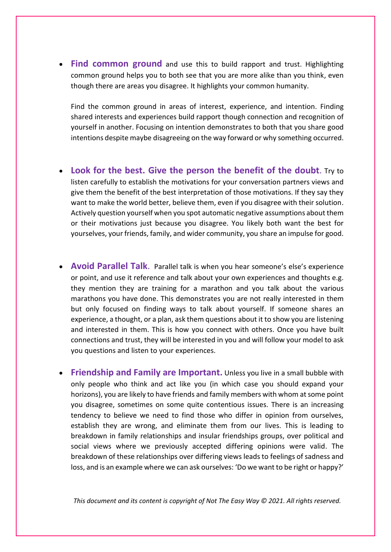• **Find common ground** and use this to build rapport and trust. Highlighting common ground helps you to both see that you are more alike than you think, even though there are areas you disagree. It highlights your common humanity.

Find the common ground in areas of interest, experience, and intention. Finding shared interests and experiences build rapport though connection and recognition of yourself in another. Focusing on intention demonstrates to both that you share good intentions despite maybe disagreeing on the way forward or why something occurred.

- **Look for the best. Give the person the benefit of the doubt**. Try to listen carefully to establish the motivations for your conversation partners views and give them the benefit of the best interpretation of those motivations. If they say they want to make the world better, believe them, even if you disagree with their solution. Actively question yourself when you spot automatic negative assumptions about them or their motivations just because you disagree. You likely both want the best for yourselves, your friends, family, and wider community, you share an impulse for good.
- **Avoid Parallel Talk**. Parallel talk is when you hear someone's else's experience or point, and use it reference and talk about your own experiences and thoughts e.g. they mention they are training for a marathon and you talk about the various marathons you have done. This demonstrates you are not really interested in them but only focused on finding ways to talk about yourself. If someone shares an experience, a thought, or a plan, ask them questions about it to show you are listening and interested in them. This is how you connect with others. Once you have built connections and trust, they will be interested in you and will follow your model to ask you questions and listen to your experiences.
- **Friendship and Family are Important.** Unless you live in a small bubble with only people who think and act like you (in which case you should expand your horizons), you are likely to have friends and family members with whom at some point you disagree, sometimes on some quite contentious issues. There is an increasing tendency to believe we need to find those who differ in opinion from ourselves, establish they are wrong, and eliminate them from our lives. This is leading to breakdown in family relationships and insular friendships groups, over political and social views where we previously accepted differing opinions were valid. The breakdown of these relationships over differing views leads to feelings of sadness and loss, and is an example where we can ask ourselves: 'Do we want to be right or happy?'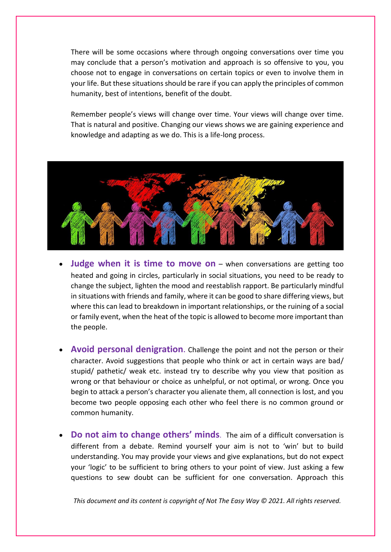There will be some occasions where through ongoing conversations over time you may conclude that a person's motivation and approach is so offensive to you, you choose not to engage in conversations on certain topics or even to involve them in your life. But these situations should be rare if you can apply the principles of common humanity, best of intentions, benefit of the doubt.

Remember people's views will change over time. Your views will change over time. That is natural and positive. Changing our views shows we are gaining experience and knowledge and adapting as we do. This is a life-long process.



- **Judge when it is time to move on** when conversations are getting too heated and going in circles, particularly in social situations, you need to be ready to change the subject, lighten the mood and reestablish rapport. Be particularly mindful in situations with friends and family, where it can be good to share differing views, but where this can lead to breakdown in important relationships, or the ruining of a social or family event, when the heat of the topic is allowed to become more important than the people.
- **Avoid personal denigration**. Challenge the point and not the person or their character. Avoid suggestions that people who think or act in certain ways are bad/ stupid/ pathetic/ weak etc. instead try to describe why you view that position as wrong or that behaviour or choice as unhelpful, or not optimal, or wrong. Once you begin to attack a person's character you alienate them, all connection is lost, and you become two people opposing each other who feel there is no common ground or common humanity.
- **Do not aim to change others' minds**. The aim of a difficult conversation is different from a debate. Remind yourself your aim is not to 'win' but to build understanding. You may provide your views and give explanations, but do not expect your 'logic' to be sufficient to bring others to your point of view. Just asking a few questions to sew doubt can be sufficient for one conversation. Approach this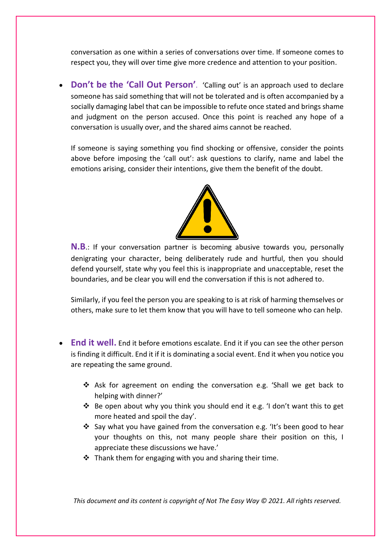conversation as one within a series of conversations over time. If someone comes to respect you, they will over time give more credence and attention to your position.

• **Don't be the 'Call Out Person'**. 'Calling out' is an approach used to declare someone has said something that will not be tolerated and is often accompanied by a socially damaging label that can be impossible to refute once stated and brings shame and judgment on the person accused. Once this point is reached any hope of a conversation is usually over, and the shared aims cannot be reached.

If someone is saying something you find shocking or offensive, consider the points above before imposing the 'call out': ask questions to clarify, name and label the emotions arising, consider their intentions, give them the benefit of the doubt.



**N.B**.: If your conversation partner is becoming abusive towards you, personally denigrating your character, being deliberately rude and hurtful, then you should defend yourself, state why you feel this is inappropriate and unacceptable, reset the boundaries, and be clear you will end the conversation if this is not adhered to.

Similarly, if you feel the person you are speaking to is at risk of harming themselves or others, make sure to let them know that you will have to tell someone who can help.

- **End it well.** End it before emotions escalate. End it if you can see the other person is finding it difficult. End it if it is dominating a social event. End it when you notice you are repeating the same ground.
	- ❖ Ask for agreement on ending the conversation e.g. 'Shall we get back to helping with dinner?'
	- ❖ Be open about why you think you should end it e.g. 'I don't want this to get more heated and spoil the day'.
	- ❖ Say what you have gained from the conversation e.g. 'It's been good to hear your thoughts on this, not many people share their position on this, I appreciate these discussions we have.'
	- $\cdot$  Thank them for engaging with you and sharing their time.